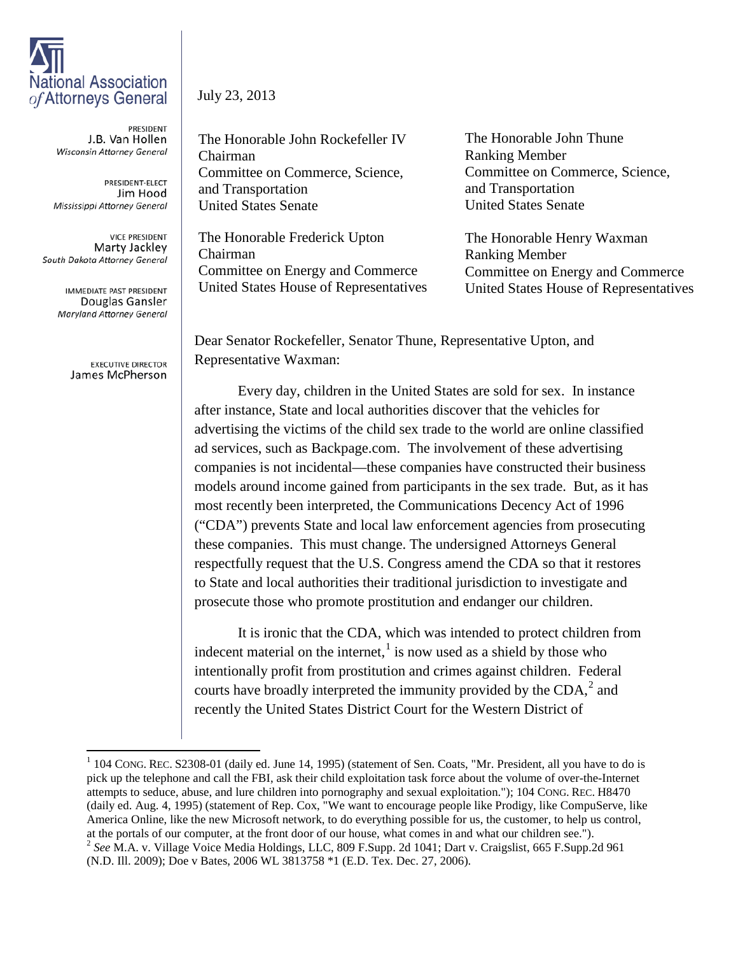## National Association of Attorneys General

PRESIDENT J.B. Van Hollen Wisconsin Attorney General

PRESIDENT-ELECT Jim Hood Mississippi Attorney General

**VICE PRESIDENT** Marty Jackley South Dakota Attorney General

> **IMMEDIATE PAST PRESIDENT** Douglas Gansler Maryland Attorney General

> > **EXECUTIVE DIRECTOR** James McPherson

## July 23, 2013

The Honorable John Rockefeller IV Chairman Committee on Commerce, Science, and Transportation United States Senate

The Honorable Frederick Upton Chairman Committee on Energy and Commerce United States House of Representatives The Honorable John Thune Ranking Member Committee on Commerce, Science, and Transportation United States Senate

The Honorable Henry Waxman Ranking Member Committee on Energy and Commerce United States House of Representatives

Dear Senator Rockefeller, Senator Thune, Representative Upton, and Representative Waxman:

Every day, children in the United States are sold for sex. In instance after instance, State and local authorities discover that the vehicles for advertising the victims of the child sex trade to the world are online classified ad services, such as Backpage.com. The involvement of these advertising companies is not incidental—these companies have constructed their business models around income gained from participants in the sex trade. But, as it has most recently been interpreted, the Communications Decency Act of 1996 ("CDA") prevents State and local law enforcement agencies from prosecuting these companies. This must change. The undersigned Attorneys General respectfully request that the U.S. Congress amend the CDA so that it restores to State and local authorities their traditional jurisdiction to investigate and prosecute those who promote prostitution and endanger our children.

It is ironic that the CDA, which was intended to protect children from indecent material on the internet, $<sup>1</sup>$  $<sup>1</sup>$  $<sup>1</sup>$  is now used as a shield by those who</sup> intentionally profit from prostitution and crimes against children. Federal courts have broadly interpreted the immunity provided by the  $CDA<sub>1</sub><sup>2</sup>$  $CDA<sub>1</sub><sup>2</sup>$  $CDA<sub>1</sub><sup>2</sup>$  and recently the United States District Court for the Western District of

<span id="page-0-1"></span><span id="page-0-0"></span> $1$  104 CONG. REC. S2308-01 (daily ed. June 14, 1995) (statement of Sen. Coats, "Mr. President, all you have to do is pick up the telephone and call the FBI, ask their child exploitation task force about the volume of over-the-Internet attempts to seduce, abuse, and lure children into pornography and sexual exploitation."); 104 CONG. REC. H8470 (daily ed. Aug. 4, 1995) (statement of Rep. Cox, "We want to encourage people like Prodigy, like CompuServe, like America Online, like the new Microsoft network, to do everything possible for us, the customer, to help us control, at the portals of our computer, at the front door of our house, what comes in and what our children see."). <sup>2</sup> See M.A. v. Village Voice Media Holdings, LLC, 809 F.Supp. 2d 1041; Dart v. Craigslist, 665 F.Supp.2d 961 (N.D. Ill. 2009); Doe v Bates, 2006 WL 3813758 \*1 (E.D. Tex. Dec. 27, 2006).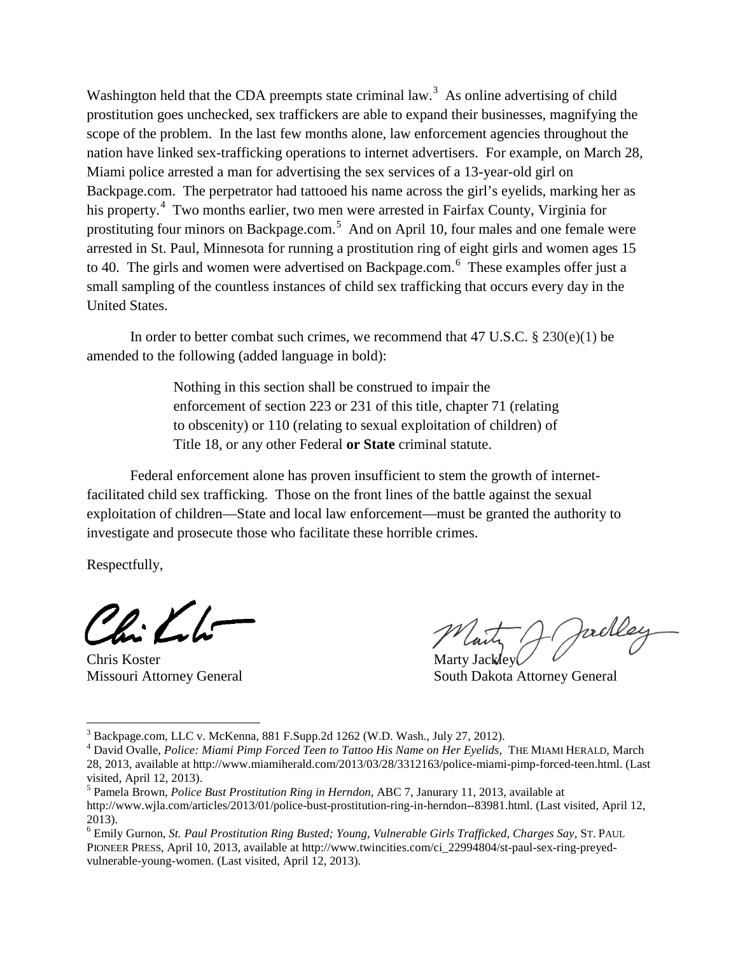Washington held that the CDA preempts state criminal law.<sup>[3](#page-1-0)</sup> As online advertising of child prostitution goes unchecked, sex traffickers are able to expand their businesses, magnifying the scope of the problem. In the last few months alone, law enforcement agencies throughout the nation have linked sex-trafficking operations to internet advertisers. For example, on March 28, Miami police arrested a man for advertising the sex services of a 13-year-old girl on Backpage.com. The perpetrator had tattooed his name across the girl's eyelids, marking her as his property.<sup>[4](#page-1-1)</sup> Two months earlier, two men were arrested in Fairfax County, Virginia for prostituting four minors on Backpage.com.<sup>[5](#page-1-2)</sup> And on April 10, four males and one female were arrested in St. Paul, Minnesota for running a prostitution ring of eight girls and women ages 15 to 40. The girls and women were advertised on Backpage.com.<sup>[6](#page-1-3)</sup> These examples offer just a small sampling of the countless instances of child sex trafficking that occurs every day in the United States.

In order to better combat such crimes, we recommend that 47 U.S.C.  $\S 230(e)(1)$  be amended to the following (added language in bold):

> Nothing in this section shall be construed to impair the enforcement of section 223 or 231 of this title, chapter 71 (relating to obscenity) or 110 (relating to sexual exploitation of children) of Title 18, or any other Federal **or State** criminal statute.

Federal enforcement alone has proven insufficient to stem the growth of internetfacilitated child sex trafficking. Those on the front lines of the battle against the sexual exploitation of children—State and local law enforcement—must be granted the authority to investigate and prosecute those who facilitate these horrible crimes.

Respectfully,

Chris Koster Marty Jackley

rell

Missouri Attorney General South Dakota Attorney General

<span id="page-1-0"></span><sup>3</sup> Backpage.com, LLC v. McKenna, 881 F.Supp.2d 1262 (W.D. Wash., July 27, 2012).

<span id="page-1-1"></span><sup>&</sup>lt;sup>4</sup> David Ovalle, *Police: Miami Pimp Forced Teen to Tattoo His Name on Her Eyelids, THE MIAMI HERALD, March* 28, 2013, available at http://www.miamiherald.com/2013/03/28/3312163/police-miami-pimp-forced-teen.html. (Last visited, April 12, 2013).

<span id="page-1-2"></span><sup>5</sup> Pamela Brown, *Police Bust Prostitution Ring in Herndon,* ABC 7, Janurary 11, 2013, available at http://www.wjla.com/articles/2013/01/police-bust-prostitution-ring-in-herndon--83981.html. (Last visited, April 12, 2013).

<span id="page-1-3"></span><sup>6</sup> Emily Gurnon, *St. Paul Prostitution Ring Busted; Young, Vulnerable Girls Trafficked, Charges Say,* ST. PAUL PIONEER PRESS, April 10, 2013, available at http://www.twincities.com/ci\_22994804/st-paul-sex-ring-preyedvulnerable-young-women. (Last visited, April 12, 2013).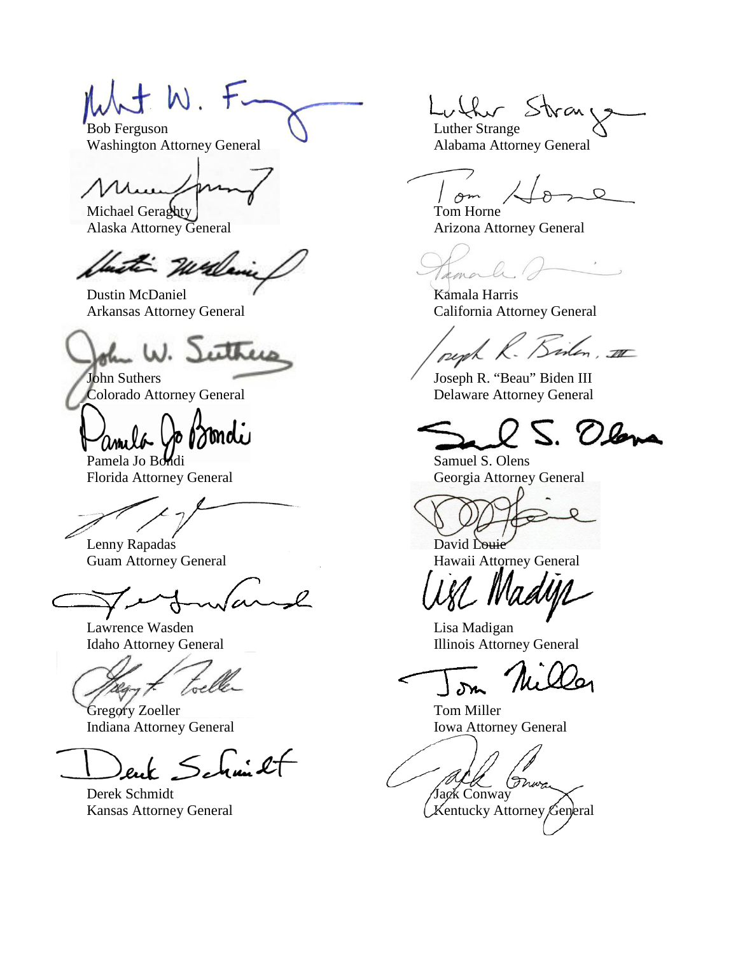$\lambda$  t W. F. Bob Ferguson ( ) Luther Strange

Washington Attorney General **Alabama Attorney General** 

Michael Geraghty Tom Horne

with Wales

Dustin McDaniel Kamala Harris

ether L W.

Bondi

Florida Attorney General Georgia Attorney General

Lenny Rapadas David Louie Guam Attorney General **Hawaii Attorney General** 

 $\pmb{\mathcal{L}}$ 

Lawrence Wasden **Lisa Madigan** 

toel

Gregory Zoeller Tom Miller Indiana Attorney General Iowa Attorney General

enk Schmilt

ran

 $\circ$ om

Alaska Attorney General **Arizona Attorney General** Arizona Attorney General

 $\sim$   $\sim$ amor

Arkansas Attorney General California Attorney General

peph R. Birlen, III

John Suthers Joseph R. "Beau" Biden III<br>Colorado Attorney General Delaware Attorney General Delaware Attorney General

S. Olana

Pamela Jo Bondi Samuel S. Olens

Idaho Attorney General Illinois Attorney General

Jyn

Derek Schmidt Derek Schmidt Jack Conway

Kansas Attorney General Kansas Attorney General Kentucky Attorney General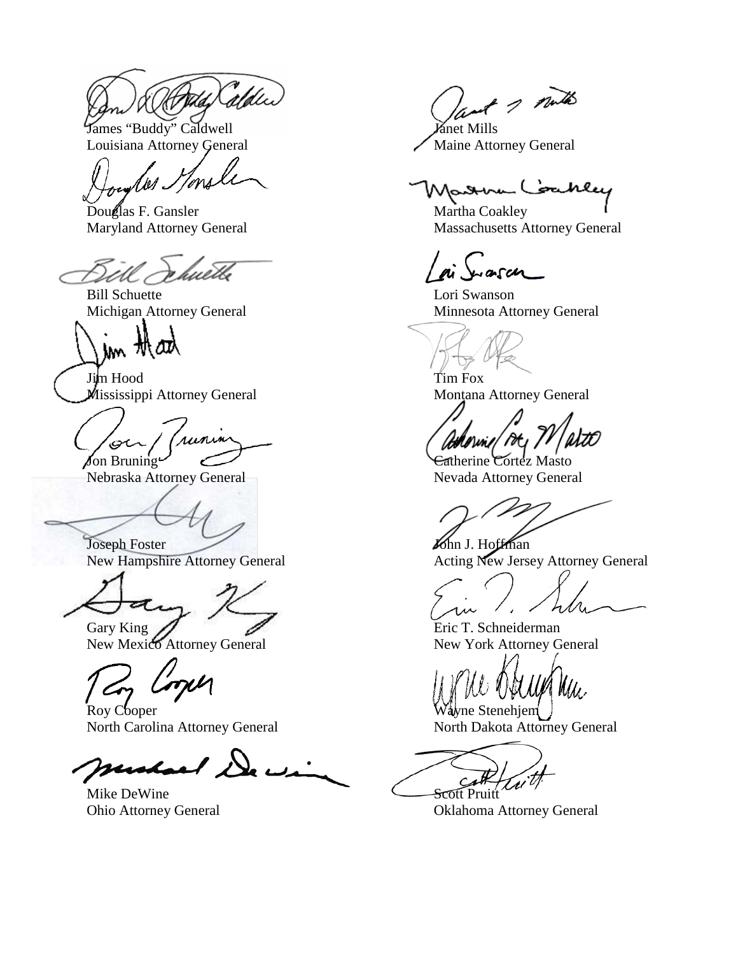James "Buddy" Caldwell Janet Mills Louisiana Attorney General Maine Attorney General

los Honsle

Douglas F. Gansler Martha Coakley

wetle

Bill Schuette Lori Swanson

In that

Jim Hood Tim Fox Mississippi Attorney General Montana Attorney General

runin Jon Bruning Cortez Masto

Nebraska Attorney General Nevada Attorney General

Joseph Foster Monet Townshire Attorney General Monet Acting New Jerse

New Mexico Attorney General New York Attorney General

Roy Cooper North Carolina Attorney General North Dakota Attorney General

rustae/ De

Mike DeWine Scott Pruit

ant 1 mills

Mattim Coakley

Maryland Attorney General Massachusetts Attorney General

-asch

Michigan Attorney General Minnesota Attorney General

Acting New Jersey Attorney General

Gary King  $\bigotimes$  Eric T. Schneiderman

 $M\!M$ 

 $\sim$ t v

Ohio Attorney General Oklahoma Attorney General